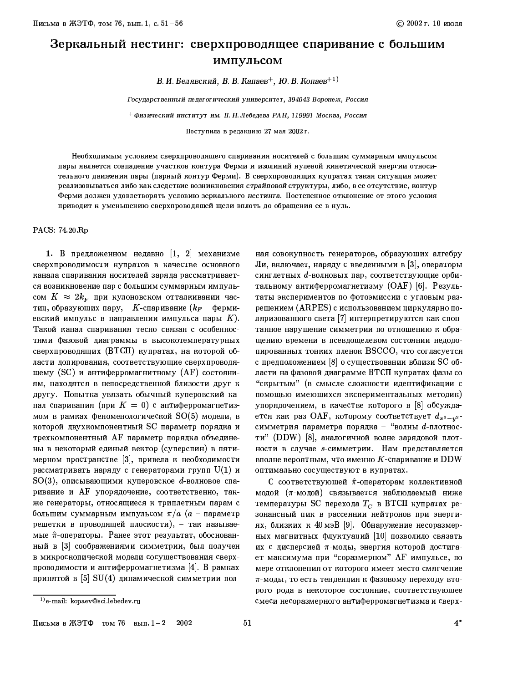## Зеркальный нестинг: сверхпроводящее спаривание с большим импульсом

В. И. Белявский, В. В. Капаев<sup>+</sup>, Ю. В. Копаев<sup>+1)</sup>

Государственный педагогический университет, 394043 Воронеж, Россия

 $^+$ Физический институт им. П. Н. Лебедева РАН, 119991 Москва, Россия

Поступила в редакцию 27 мая 2002 г.

Необходимым условием сверхпроводящего спаривания носителей с большим суммарным импульсом пары является совпадение участков контура Ферми и изолиний нулевой кинетической энергии относительного движения пары (парный контур Ферми). В сверхпроводящих купратах такая ситуация может реализовываться либо как следствие возникновения страйповой структуры, либо, в ее отсутствие, контур Ферми должен удовлетворять условию зеркального нестинга. Постепенное отклонение от этого условия приводит к уменьшению сверхпроводящей щели вплоть до обращения ее в нуль.

PACS: 74.20 Rp

1. В предложенном недавно  $\begin{bmatrix} 1, 2 \end{bmatrix}$  механизме сверхпроводимости купратов в качестве основного канала спаривания носителей заряда рассматривается возникновение пар с большим суммарным импульсом  $K \approx 2k_F$  при кулоновском отталкивании частиц, образующих пару, - К-спаривание  $(k_F - \phi e)$ рмиевский импульс в направлении импульса пары  $K$ ). Такой канал спаривания тесно связан с особенностями фазовой диаграммы в высокотемпературных сверхпроводящих (ВТСП) купратах, на которой области допирования, соответствующие сверхпроводящему (SC) и антиферромагнитному (AF) состояниям, находятся в непосредственной близости друг к другу. Попытка увязать обычный куперовский канал спаривания (при  $K\,=\,0)$  с антиферромагнетизмом в рамках феноменологической  $SO(5)$  модели, в которой двухкомпонентный SC параметр порядка и трехкомпонентный АF параметр порядка объединены в некоторый единый вектор (суперспин) в пятимерном пространстве [3], привела к необходимости рассматривать наряду с генераторами групп  $\mathrm{U}(1)$  и  $SO(3)$ , описывающими куперовское d-волновое спаривание и АF упорядочение, соответственно, также генераторы, относящиеся к триплетным парам с большим суммарным импульсом  $\pi/a$  ( $a$  - параметр решетки в проводящей плоскости), - так называемые  $\hat{\pi}$ -операторы. Ранее этот результат, обоснованный в [3] соображениями симметрии, был получен в микроскопической модели сосуществования сверхпроводимости и антиферромагнетизма [4]. В рамках принятой в [5] SU(4) динамической симметрии пол-

ная совокупность генераторов, образующих алгебру Ли, включает, наряду с введенными в [3], операторы синглетных d-волновых пар, соответствующие орбитальному антиферромагнетизму (ОАF) [6]. Результаты экспериментов по фотоэмиссии с угловым разрешением (ARPES) с использованием циркулярно поляризованного света [7] интерпретируются как спонтанное нарушение симметрии по отношению к обращению времени в псевдощелевом состоянии недодопированных тонких пленок BSCCO, что согласуется с предположением [8] о существовании вблизи SC области на фазовой диаграмме ВТСП купратах фазы со "скрытым" (в смысле сложности идентификации с помощью имеющихся экспериментальных методик) упорядочением, в качестве которого в [8] обсуждается как раз ОАF, которому соответствует  $d_{x^2-y^2}$ симметрия параметра порядка - "волны  $d$ -плотности" (DDW) [8], аналогичной волне зарядовой плотности в случае *s*-симметрии. Нам представляется вполне вероятным, что именно  $K$ -спаривание и DDW оптимально сосуществуют в купратах.

С соответствующей  $\hat{\pi}$ -операторам коллективной модой (т-модой) связывается наблюдаемый ниже температуры SC перехода  $T_C$  в ВТСП купратах резонансный пик в рассеянии нейтронов при энергиях, близких к 40 мэВ [9]. Обнаружение несоразмерных магнитных флуктуаций [10] позволило связать их с дисперсией п-моды, энергия которой достигает максимума при "соразмерном" АГ импульсе, по мере отклонения от которого имеет место смягчение т-моды, то есть тенденция к фазовому переходу второго рода в некоторое состояние, соответствующее смеси несоразмерного антиферромагнетизма и сверх-

 $^{(1)}$ e-mail: kopaev@sci.lebedev.ru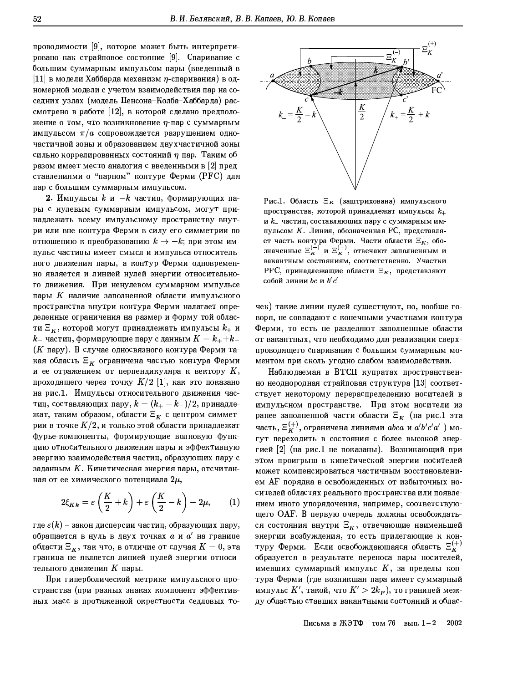проводимости [9], которое может быть интерпретировано как страйповое состояние [9]. Спаривание с большим суммарным импульсом пары (введенный в [11] в модели Хаббарда механизм  $\eta$ -спаривания) в одномерной модели с учетом взаимодействия пар на соседних узлах (модель Пенсона-Колба-Хаббарда) рассмотрено в работе [12], в которой сделано предположение о том, что возникновение  $\eta$ -пар с суммарным импульсом  $\pi/a$  сопровождается разрушением одночастичной зоны и образованием двухчастичной зоны сильно коррелированных состояний  $\eta$ -пар. Таким образом имеет место аналогия с введенными в [2] представлениями о "парном" контуре Ферми (РҒС) для пар с большим суммарным импульсом.

2. Импульсы  $k$  и  $-k$  частиц, формирующих пары с нулевым суммарным импульсом, могут принадлежать всему импульсному пространству внутри или вне контура Ферми в силу его симметрии по отношению к преобразованию  $k \rightarrow -k$ ; при этом импульс частицы имеет смысл и импульса относительного движения пары, а контур Ферми одновременно является и линией нулей энергии относительного движения. При ненулевом суммарном импульсе пары  $K$  наличие заполненной области импульсного пространства внутри контура Ферми налагает определенные ограничения на размер и форму той области  $\Xi_K$ , которой могут принадлежать импульсы  $k_+$  и  $k_{-}$  частиц, формирующие пару с данным  $K = k_{+} \! + \! k_{-}$ (К-пару). В случае односвязного контура Ферми такая область  $\Xi_K$  ограничена частью контура Ферми и ее отражением от перпендикуляра к вектору  $K,$ проходящего через точку  $K/2\,$   $[1],$  как это показано на рис.1. Импульсы относительного движения частиц, составляющих пару,  $k = (k_{+} - k_{-})/2$ , принадлежат, таким образом, области  $\Xi_K$  с центром симметрии в точке  $K/2$ , и только этой области принадлежат фурье-компоненты, формирующие волновую функцию относительного движения пары и эффективную энергию взаимодействия частиц, образующих пару с заданным  $K$ . Кинетическая энергия пары, отсчитанная от ее химического потенциала  $2\mu$ ,

$$
2\xi_{Kk} = \varepsilon \left(\frac{K}{2} + k\right) + \varepsilon \left(\frac{K}{2} - k\right) - 2\mu, \qquad (1)
$$

где  $\varepsilon(k)$  – закон дисперсии частиц, образующих пару, обращается в нуль в двух точках  $a$  и  $a'$  на границе области  $\Xi_K$ , так что, в отличие от случая  $K=0$ , эта граница не является линией нулей энергии относительного движения К-пары.

При гиперболической метрике импульсного пространства (при разных знаках компонент эффективных масс в протяженной окрестности седловых то-



Рис.1. Область  $\Xi_K$  (заштрихована) импульсного пространства, которой принадлежат импульсы  $k_{+}$ и  $k_{-}$  частиц, составляющих пару с суммарным импульсом К. Линия, обозначенная FC, представляет часть контура Ферми. Части области  $\Xi_K$ , обо-<br>значенные  $\Xi_K^{(-)}$  и  $\Xi_K^{(+)}$ , отвечают заполненным и вакантным состояниям, соответственно. Участки РFC, принадлежащие области  $\Xi_K$ , представляют собой линии  $bc$  и  $b'c'$ 

чек) такие линии нулей существуют, но, вообще говоря, не совпадают с конечными участками контура Ферми, то есть не разделяют заполненные области от вакантных, что необходимо для реализации сверхпроводящего спаривания с большим суммарным моментом при сколь угодно слабом взаимодействии.

Наблюдаемая в ВТСП купратах пространственно неоднородная страйповая структура [13] соответствует некоторому перераспределению носителей в импульсном пространстве. При этом носители из ранее заполненной части области  $\Xi_K$  (на рис.1 эта часть,  $\Xi_K^{(+)}$ , ограничена линиями а $bca$  и а' $b'c'a'$ ) могут переходить в состояния с более высокой энергией [2] (на рис.1 не показаны). Возникающий при этом проигрыш в кинетической энергии носителей может компенсироваться частичным восстановлением АF порядка в освобожденных от избыточных носителей областях реального пространства или появлением иного упорядочения, например, соответствующего ОАГ. В первую очередь должны освобождаться состояния внутри  $\Xi_K$ , отвечающие наименьшей энергии возбуждения, то есть прилегающие к контуру Ферми. Если освобождающаяся область  $\Xi_K^{(+)}$ образуется в результате переноса пары носителей, имевших суммарный импульс  $K$ , за пределы контура Ферми (где возникшая пара имеет суммарный импульс  $K'$ , такой, что  $K' > 2k_F$ ), то границей между областью ставших вакантными состояний и облас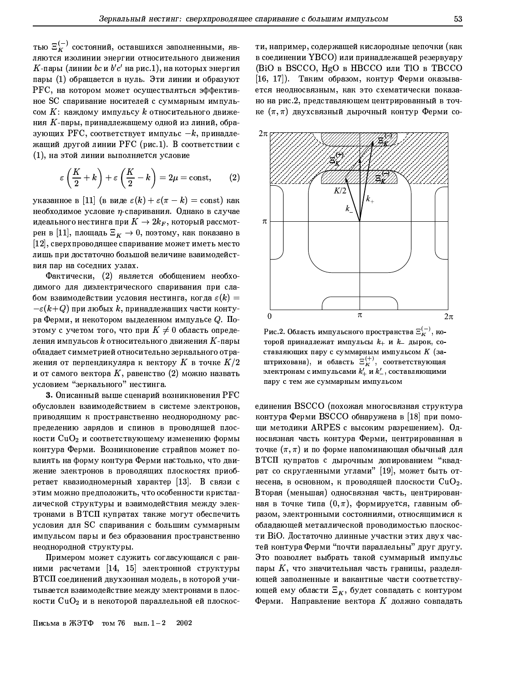тью  $\Xi_K^{(-)}$  состояний, оставшихся заполненными, являются изолинии энергии относительного движения  $K$ -пары (линии bc и b'c' на рис.1), на которых энергия пары (1) обращается в нуль. Эти линии и образуют РГС, на котором может осуществляться эффективное SC спаривание носителей с суммарным импульсом  $K$ : каждому импульсу  $k$  относительного движения  $K$ -пары, принадлежащему одной из линий, образующих РFC, соответствует импульс  $-k$ , принадлежащий другой линии РҒС (рис.1). В соответствии с (1), на этой линии выполняется условие

$$
\varepsilon\left(\frac{K}{2}+k\right)+\varepsilon\left(\frac{K}{2}-k\right)=2\mu=\mathrm{const},\qquad(2)
$$

указанное в [11] (в виде  $\varepsilon(k) + \varepsilon(\pi - k) = \text{const}$ ) как необходимое условие  $\eta$ -спаривания. Однако в случае идеального нестинга при  $K\to 2k_F,$  который рассмотрен в [11], площадь  $\Xi_{\boldsymbol{K}}\to 0$ , поэтому, как показано в [12], сверхпроводящее спаривание может иметь место лишь при достаточно большой величине взаимодействия пар на соседних узлах.

Фактически, (2) является обобщением необходимого для диэлектрического спаривания при слабом взаимодействии условия нестинга, когда  $\varepsilon(k) =$  $-\varepsilon(k\!+\!Q)$  при любых  $k,$  принадлежащих части контура Ферми, и некотором выделенном импульсе  $Q$ . Поэтому с учетом того, что при  $K \neq 0$  область определения импульсов  $k$  относительного движения  $K$ -пары обладает симметрией относительно зеркального отражения от перпендикуляра к вектору  $K$  в точке  $K/2$ и от самого вектора  $K$ , равенство (2) можно назвать условием "зеркального" нестинга.

3. Описанный выше сценарий возникновения Р $\operatorname{FC}$ обусловлен взаимодействием в системе электронов, приводящим к пространственно неоднородному распределению зарядов и спинов в проводящей плоскости  $\rm CuO_2$  и соответствующему изменению формы контура Ферми. Возникновение страйпов может повлиять на форму контура Ферми настолько, что движение электронов в проводящих плоскостях приобретает квазиодномерный характер [13]. В связи с этим можно предположить, что особенности кристаллической структуры и взаимодействия между электронами в ВТСП купратах также могут обеспечить условия для SC спаривания с большим суммарным импульсом пары и без образования пространственно неоднородной структуры.

Примером может служить согласующаяся с ранними расчетами [14, 15] электронной структуры ВТСП соединений двухзонная модель, в которой учитывается взаимодействие между электронами в плоскости  $\rm CuO_2$  и в некоторой параллельной ей плоскос-

Письма в ЖЭТФ том 76 вып.  $1-2$ 2002

ти, например, содержащей кислородные цепочки (как в соединении YBCO) или принадлежащей резервуару (BiO в BSCCO, HgO в HBCCO или TIO в ТВССО [16, 17]). Таким образом, контур Ферми оказывается неодносвязным, как это схематически показано на рис.2, представляющем центрированный в точке  $(\pi, \pi)$  двухсвязный дырочный контур Ферми со-



Рис.2. Область импульсного пространства  $\Xi_K^{(-)}$ , которой принадлежат импульсы  $k_+$  и  $k_-$  дырок, составляющих пару с суммарным импульсом К (заштрихована), и область  $\Xi_K^{(+)}$ , соответствующая электронам с импульсами  $k'_{+}$  и  $k'_{-}$ , составляющими пару с тем же суммарным импульсом

единения BSCCO (похожая многосвязная структура контура Ферми BSCCO обнаружена в [18] при помощи методики ARPES с высоким разрешением). Односвязная часть контура Ферми, центрированная в точке  $(\pi, \pi)$  и по форме напоминающая обычный для ВТСП купратов с дырочным допированием "квадрат со скругленными углами" [19], может быть отнесена, в основном, к проводящей плоскости  $CuO<sub>2</sub>$ . Вторая (меньшая) односвязная часть, центрированная в точке типа  $(0, \pi)$ , формируется, главным образом, электронными состояниями, относящимися к обладающей металлической проводимостью плоскости ВіО. Достаточно длинные участки этих двух частей контура Ферми "почти параллельны" друг другу. Это позволяет выбрать такой суммарный импульс пары  $K$ , что значительная часть границы, разделяющей заполненные и вакантные части соответствующей ему области  $\Xi_K$ , будет совпадать с контуром Ферми. Направление вектора  $K$  должно совпадать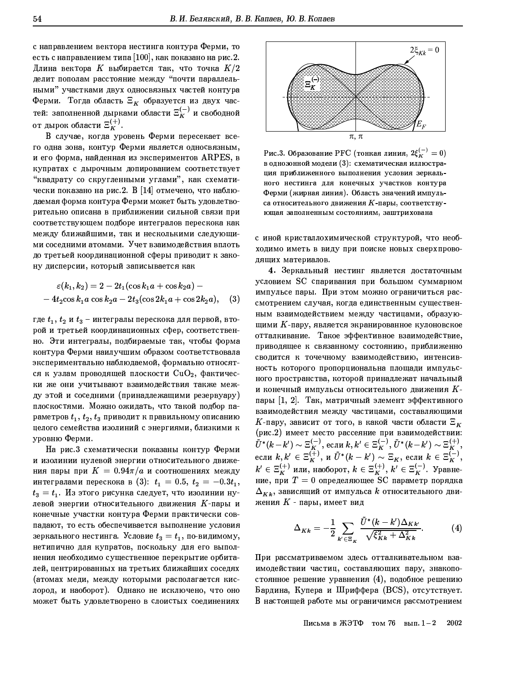с направлением вектора нестинга контура Ферми, то есть с направлением типа [100], как показано на рис.2. Длина вектора  $K$  выбирается так, что точка  $K/2$ делит пополам расстояние между "почти параллельными" участками двух односвязных частей контура Ферми. Тогда область  $\Xi_K$  образуется из двух частей: заполненной дырками области $\Xi_K^{(-)}$ и свободной от дырок области  $\Xi_K^{(+)}$ .

В случае, когда уровень Ферми пересекает всего одна зона, контур Ферми является односвязным, и его форма, найденная из экспериментов ARPES, в купратах с дырочным допированием соответствует "квадрату со скругленными углами", как схематически показано на рис.2. В [14] отмечено, что наблюдаемая форма контура Ферми может быть удовлетворительно описана в приближении сильной связи при соответствующем подборе интегралов перескока как между ближайшими, так и несколькими следующими соседними атомами. Учет взаимодействия вплоть до третьей координационной сферы приводит к закону дисперсии, который записывается как

$$
\varepsilon(k_1, k_2) = 2 - 2t_1(\cos k_1 a + \cos k_2 a) -- 4t_2 \cos k_1 a \cos k_2 a - 2t_3(\cos 2k_1 a + \cos 2k_2 a),
$$
 (3)

где  $t_1, t_2$  и  $t_3$  – интегралы перескока для первой, второй и третьей координационных сфер, соответственно. Эти интегралы, подбираемые так, чтобы форма контура Ферми наилучшим образом соответствовала экспериментально наблюдаемой, формально относятся к узлам проводящей плоскости  $CuO<sub>2</sub>$ , фактически же они учитывают взаимодействия также между этой и соседними (принадлежащими резервуару) плоскостями. Можно ожидать, что такой подбор параметров  $t_1, t_2, t_3$  приводит к правильному описанию целого семейства изолиний с энергиями, близкими к уровню Ферми.

На рис.3 схематически показаны контур Ферми и изолинии нулевой энергии относительного движения пары при  $K = 0.94\pi/a$  и соотношениях между интегралами перескока в (3):  $t_1 = 0.5, t_2 = -0.3t_1$ ,  $t_3 = t_1$ . Из этого рисунка следует, что изолинии нулевой энергии относительного движения  $K$ -пары и конечные участки контура Ферми практически совпадают, то есть обеспечивается выполнение условия зеркального нестинга. Условие  $t_3 = t_1$ , по-видимому, нетипично для купратов, поскольку для его выполнения необходимо существенное перекрытие орбиталей, центрированных на третьих ближайших соседях (атомах меди, между которыми располагается кислород, и наоборот). Однако не исключено, что оно может быть удовлетворено в слоистых соединениях



Рис.3. Образование РFC (тонкая линия,  $2\xi_K^{(-)}=0$ ) в однозонной модели (3): схематическая иллюстрация приближенного выполнения условия зеркального нестинга для конечных участков контура Ферми (жирная линия). Область значений импульса относительного движения К-пары, соответствующая заполненным состояниям, заштрихована

с иной кристаллохимической структурой, что необходимо иметь в виду при поиске новых сверхпроводящих материалов.

4. Зеркальный нестинг является достаточным условием SC спаривания при большом суммарном импульсе пары. При этом можно ограничиться рассмотрением случая, когда единственным существенным взаимодействием между частицами, образующими  $K$ -пару, является экранированное кулоновское отталкивание. Такое эффективное взаимодействие, приводящее к связанному состоянию, приближенно сводится к точечному взаимодействию, интенсивность которого пропорциональна площади импульсного пространства, которой принадлежат начальный и конечный импульсы относительного движения  $K$ пары [1, 2]. Так, матричный элемент эффективного взаимодействия между частицами, составляющими  $K$ -пару, зависит от того, в какой части области  $\Xi_K$ (рис.2) имеет место рассеяние при взаимодействии:  $\tilde{U}^*(k-k') \sim \Xi_K^{(-)}$ , если  $k, k' \in \Xi_K^{(-)}$ ,  $\tilde{U}^*(k-k') \sim \Xi_K^{(+)}$ ,<br>если  $k, k' \in \Xi_K^{(+)}$ , и  $\tilde{U}^*(k-k') \sim \Xi_K$ , если  $k \in \Xi_K^{(-)}$ ,<br> $k' \in \Xi_K^{(+)}$  или, наоборот,  $k \in \Xi_K^{(+)}$ ,  $k' \in \Xi_K^{(-)}$ . Уравнение, при  $T=0$  определяющее SC параметр порядка  $\Delta_{Kk}$ , зависящий от импульса  $k$  относительного движения  $K$  - пары, имеет вид

$$
\Delta_{Kk} = -\frac{1}{2} \sum_{k' \in \Xi_K} \frac{\tilde{U}^*(k - k') \Delta_{Kk'}}{\sqrt{\xi_{Kk}^2 + \Delta_{Kk}^2}}.
$$
 (4)

При рассматриваемом здесь отталкивательном взаимодействии частиц, составляющих пару, знакопостоянное решение уравнения (4), подобное решению Бардина, Купера и Шриффера (BCS), отсутствует. В настоящей работе мы ограничимся рассмотрением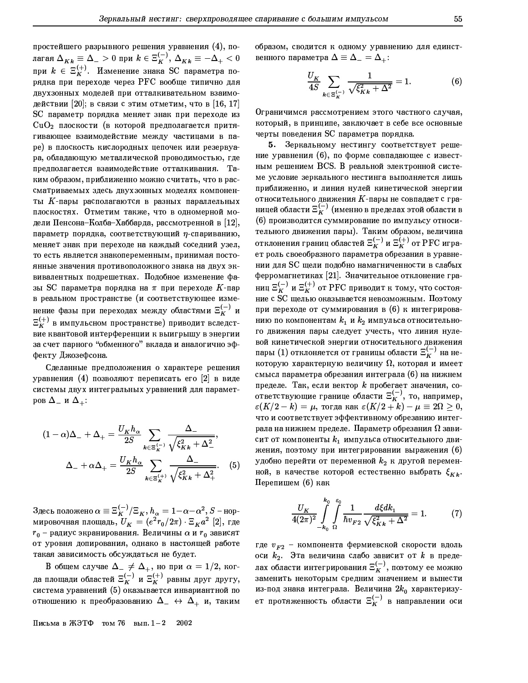простейшего разрывного решения уравнения (4), полагая  $\Delta_{Kk} \equiv \Delta_- > 0$  при  $k \in \Xi_K^{(-)}$ ,  $\Delta_{Kk} \equiv -\Delta_+ < 0$ при  $k \in \Xi_K^{(+)}$ . Изменение знака SC параметра порядка при переходе через РFC вообще типично для двухзонных моделей при отталкивательном взаимодействии [20]; в связи с этим отметим, что в [16, 17] SC параметр порядка меняет знак при переходе из  $CuO<sub>2</sub>$  плоскости (в которой предполагается притягивающее взаимодействие между частицами в паре) в плоскость кислородных цепочек или резервуара, обладающую металлической проводимостью, где предполагается взаимодействие отталкивания. Таким образом, приближенно можно считать, что в рассматриваемых здесь двухзонных моделях компоненты К-пары располагаются в разных параллельных плоскостях. Отметим также, что в одномерной модели Пенсона-Колба-Хаббарда, рассмотренной в  $[12]$ , параметр порядка, соответствующий  $\eta$ -спариванию, меняет знак при переходе на каждый соседний узел, то есть является знакопеременным, принимая постоянные значения противоположного знака на двух эквивалентных подрешетках. Подобное изменение фазы SC параметра порядка на  $\pi$  при переходе  $K$ -пар в реальном пространстве (и соответствующее изменение фазы при переходах между областями  $\Xi_K^{(-)}$  и  $E_K^{(+)}$  в импульсном пространстве) приводит вследствие квантовой интерференции к выигрышу в энергии за счет парного "обменного" вклада и аналогично эффекту Джозефсона.

Сделанные предположения о характере решения уравнения (4) позволяют переписать его [2] в виде системы двух интегральных уравнений для параметров  $\Delta_-$  и  $\Delta_+$ :

$$
(1 - \alpha)\Delta_{-} + \Delta_{+} = \frac{U_{K}h_{\alpha}}{2S} \sum_{k \in \Xi_{K}^{(-)}} \frac{\Delta_{-}}{\sqrt{\xi_{Kk}^{2} + \Delta_{-}^{2}}},
$$

$$
\Delta_{-} + \alpha\Delta_{+} = \frac{U_{K}h_{\alpha}}{2S} \sum_{k \in \Xi_{K}^{(+)}} \frac{\Delta_{-}}{\sqrt{\xi_{Kk}^{2} + \Delta_{+}^{2}}}.
$$
(5)

Здесь положено  $\alpha \equiv \Xi_K^{(-)}/\Xi_K$ ,  $h_\alpha = 1-\alpha-\alpha^2$ ,  $S$  – нор-<br>мировочная площадь,  $U_K = (e^2 r_0/2\pi) \cdot \Xi_K a^2$  [2], где  $r_0$  – радиус экранирования. Величины  $\alpha$  и  $r_0$  зависят от уровня допирования, однако в настоящей работе такая зависимость обсуждаться не будет.

В общем случае  $\Delta_{-} \neq \Delta_{+}$ , но при  $\alpha = 1/2$ , когда площади областей  $\Xi_K^{(-)}$  и  $\Xi_K^{(+)}$  равны друг другу, система уравнений (5) оказывается инвариантной по отношению к преобразованию  $\Delta_-\leftrightarrow \Delta_+$  и, таким

Письма в ЖЭТФ том 76 вып.  $1-2$  2002

образом, сводится к одному уравнению для единственного параметра  $\Delta \equiv \Delta_- = \Delta_+$ :

$$
\frac{U_K}{4S} \sum_{k \in \Xi_K^{(-)}} \frac{1}{\sqrt{\xi_{Kk}^2 + \Delta^2}} = 1.
$$
 (6)

Ограничимся рассмотрением этого частного случая, который, в принципе, заключает в себе все основные черты поведения SC параметра порядка.

5. Зеркальному нестингу соответствует решение уравнения (6), по форме совпадающее с известным решением BCS. В реальной электронной системе условие зеркального нестинга выполняется лишь приближенно, и линия нулей кинетической энергии относительного движения  $K$ -пары не совпадает с границей области  $\Xi_K^{(-)}$  (именно в пределах этой области в (6) производится суммирование по импульсу относительного движения пары). Таким образом, величина<br>отклонения границ областей  $\Xi_K^{(-)}$  и  $\Xi_K^{(+)}$  от PFC играет роль своеобразного параметра обрезания в уравнении для SC щели подобно намагниченности в слабых ферромагнетиках [21]. Значительное отклонение границ  $\Xi_K^{(-)}$  и  $\Xi_K^{(+)}$  от РFC приводит к тому, что состояние с SC щелью оказывается невозможным. Поэтому при переходе от суммирования в (6) к интегрированию по компонентам  $k_1$  и  $k_2$  импульса относительного движения пары следует учесть, что линия нулевой кинетической энергии относительного движения пары (1) отклоняется от границы области  $\Xi_{\scriptscriptstyle{K}}^{(-)}$  на некоторую характерную величину  $\Omega$ , которая и имеет смысл параметра обрезания интеграла (6) на нижнем пределе. Так, если вектор  $k$  пробегает значения, соответствующие границе области  $\Xi_K^{(-)}$ , то, например,  $\varepsilon(K/2-k)=\mu$ , тогда как  $\varepsilon(K/2+k)-\mu\equiv 2\Omega\geq 0$ , что и соответствует эффективному обрезанию интеграла на нижнем пределе. Параметр обрезания  $\Omega$  зависит от компоненты  $k_1$  импульса относительного движения, поэтому при интегрировании выражения (6) удобно перейти от переменной  $k_2$  к другой переменной, в качестве которой естественно выбрать  $\xi_{Kk}$ . Перепишем (6) как

$$
\frac{U_K}{4(2\pi)^2} \int_{-k_0}^{k_0} \int_0^{\varepsilon_0} \frac{1}{\hbar v_{F2}} \frac{d\xi dk_1}{\sqrt{\xi_{Kk}^2 + \Delta^2}} = 1. \tag{7}
$$

где  $v_{F2}$  - компонента фермиевской скорости вдоль оси  $k_2$ . Эта величина слабо зависит от  $k$  в пределах области интегрирования  $\Xi_K^{(-)}$ , поэтому ее можно заменить некоторым средним значением и вынести из-под знака интеграла. Величина  $2k_0$  характеризует протяженность области  $\Xi_K^{(-)}$  в направлении оси